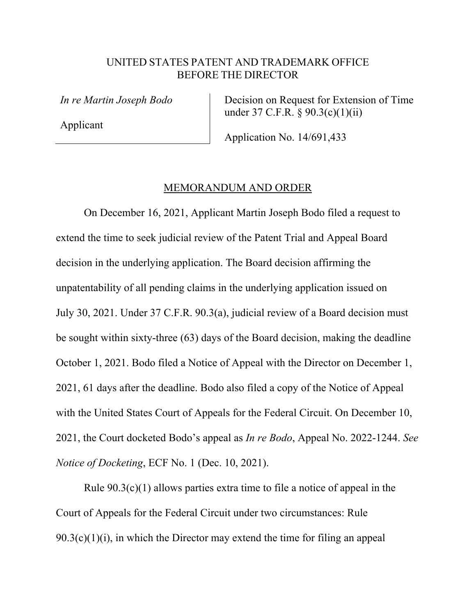## UNITED STATES PATENT AND TRADEMARK OFFICE BEFORE THE DIRECTOR

*In re Martin Joseph Bodo* 

Applicant

 Decision on Request for Extension of Time under 37 C.F.R. § 90.3(c)(1)(ii)

Application No. 14/691,433

## MEMORANDUM AND ORDER

On December 16, 2021, Applicant Martin Joseph Bodo filed a request to extend the time to seek judicial review of the Patent Trial and Appeal Board decision in the underlying application. The Board decision affirming the unpatentability of all pending claims in the underlying application issued on July 30, 2021. Under 37 C.F.R. 90.3(a), judicial review of a Board decision must be sought within sixty-three (63) days of the Board decision, making the deadline October 1, 2021. Bodo filed a Notice of Appeal with the Director on December 1, 2021, 61 days after the deadline. Bodo also filed a copy of the Notice of Appeal with the United States Court of Appeals for the Federal Circuit. On December 10, 2021, the Court docketed Bodo's appeal as *In re Bodo*, Appeal No. 2022-1244. *See Notice of Docketing*, ECF No. 1 (Dec. 10, 2021).

Rule 90.3(c)(1) allows parties extra time to file a notice of appeal in the Court of Appeals for the Federal Circuit under two circumstances: Rule  $90.3(c)(1)(i)$ , in which the Director may extend the time for filing an appeal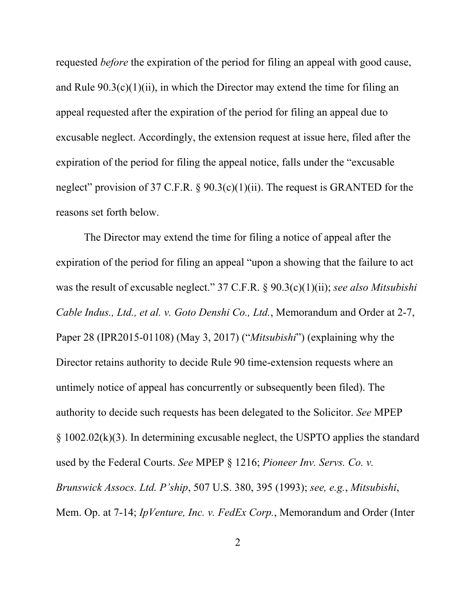requested *before* the expiration of the period for filing an appeal with good cause, and Rule  $90.3(c)(1)(ii)$ , in which the Director may extend the time for filing an appeal requested after the expiration of the period for filing an appeal due to excusable neglect. Accordingly, the extension request at issue here, filed after the expiration of the period for filing the appeal notice, falls under the "excusable neglect" provision of 37 C.F.R.  $\S 90.3(c)(1)(ii)$ . The request is GRANTED for the reasons set forth below.

The Director may extend the time for filing a notice of appeal after the expiration of the period for filing an appeal "upon a showing that the failure to act was the result of excusable neglect." 37 C.F.R. § 90.3(c)(1)(ii); *see also Mitsubishi Cable Indus., Ltd., et al. v. Goto Denshi Co., Ltd.*, Memorandum and Order at 2-7, Paper 28 (IPR2015-01108) (May 3, 2017) ("*Mitsubishi*") (explaining why the Director retains authority to decide Rule 90 time-extension requests where an untimely notice of appeal has concurrently or subsequently been filed). The authority to decide such requests has been delegated to the Solicitor. *See* MPEP § 1002.02(k)(3). In determining excusable neglect, the USPTO applies the standard used by the Federal Courts. *See* MPEP § 1216; *Pioneer Inv. Servs. Co. v. Brunswick Assocs. Ltd. P'ship*, 507 U.S. 380, 395 (1993); *see, e.g.*, *Mitsubishi*, Mem. Op. at 7-14; *IpVenture, Inc. v. FedEx Corp.*, Memorandum and Order (Inter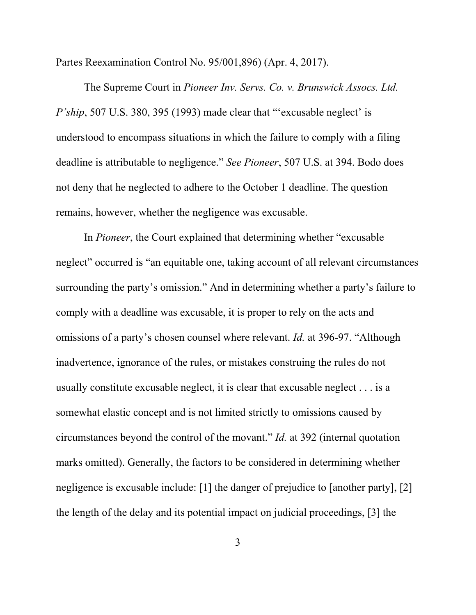Partes Reexamination Control No. 95/001,896) (Apr. 4, 2017).

The Supreme Court in *Pioneer Inv. Servs. Co. v. Brunswick Assocs. Ltd. P'ship*, 507 U.S. 380, 395 (1993) made clear that "'excusable neglect' is understood to encompass situations in which the failure to comply with a filing deadline is attributable to negligence." *See Pioneer*, 507 U.S. at 394. Bodo does not deny that he neglected to adhere to the October 1 deadline. The question remains, however, whether the negligence was excusable.

In *Pioneer*, the Court explained that determining whether "excusable neglect" occurred is "an equitable one, taking account of all relevant circumstances surrounding the party's omission." And in determining whether a party's failure to comply with a deadline was excusable, it is proper to rely on the acts and omissions of a party's chosen counsel where relevant. *Id.* at 396-97. "Although inadvertence, ignorance of the rules, or mistakes construing the rules do not usually constitute excusable neglect, it is clear that excusable neglect . . . is a somewhat elastic concept and is not limited strictly to omissions caused by circumstances beyond the control of the movant." *Id.* at 392 (internal quotation marks omitted). Generally, the factors to be considered in determining whether negligence is excusable include: [1] the danger of prejudice to [another party], [2] the length of the delay and its potential impact on judicial proceedings, [3] the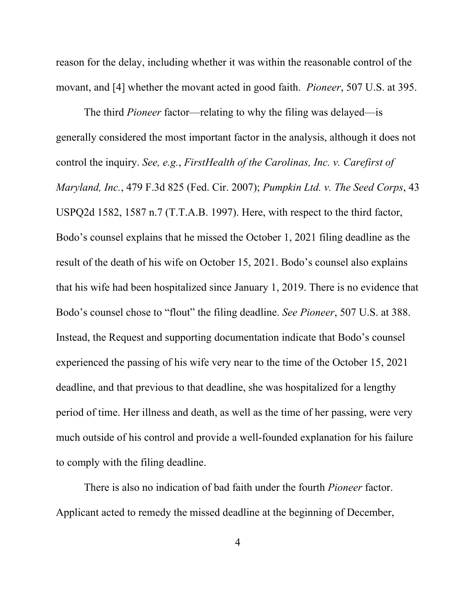reason for the delay, including whether it was within the reasonable control of the movant, and [4] whether the movant acted in good faith. *Pioneer*, 507 U.S. at 395.

 The third *Pioneer* factor—relating to why the filing was delayed—is generally considered the most important factor in the analysis, although it does not control the inquiry. *See, e.g.*, *FirstHealth of the Carolinas, Inc. v. Carefirst of Maryland, Inc.*, 479 F.3d 825 (Fed. Cir. 2007); *Pumpkin Ltd. v. The Seed Corps*, 43 USPQ2d 1582, 1587 n.7 (T.T.A.B. 1997). Here, with respect to the third factor, Bodo's counsel explains that he missed the October 1, 2021 filing deadline as the result of the death of his wife on October 15, 2021. Bodo's counsel also explains that his wife had been hospitalized since January 1, 2019. There is no evidence that Bodo's counsel chose to "flout" the filing deadline. *See Pioneer*, 507 U.S. at 388. Instead, the Request and supporting documentation indicate that Bodo's counsel experienced the passing of his wife very near to the time of the October 15, 2021 deadline, and that previous to that deadline, she was hospitalized for a lengthy period of time. Her illness and death, as well as the time of her passing, were very much outside of his control and provide a well-founded explanation for his failure to comply with the filing deadline.

There is also no indication of bad faith under the fourth *Pioneer* factor. Applicant acted to remedy the missed deadline at the beginning of December,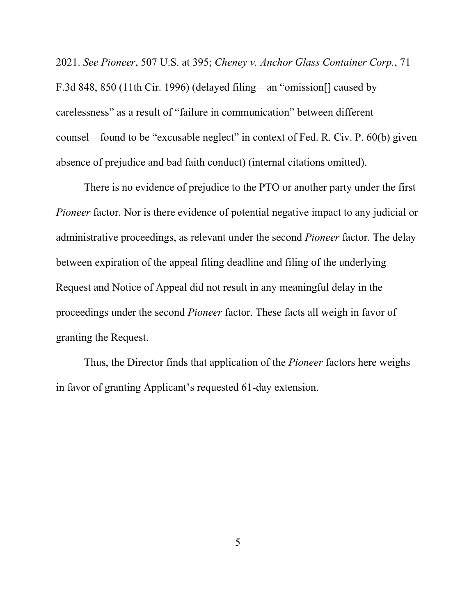2021. *See Pioneer*, 507 U.S. at 395; *Cheney v. Anchor Glass Container Corp.*, 71 F.3d 848, 850 (11th Cir. 1996) (delayed filing—an "omission[] caused by carelessness" as a result of "failure in communication" between different counsel—found to be "excusable neglect" in context of Fed. R. Civ. P. 60(b) given absence of prejudice and bad faith conduct) (internal citations omitted).

 There is no evidence of prejudice to the PTO or another party under the first *Pioneer* factor. Nor is there evidence of potential negative impact to any judicial or administrative proceedings, as relevant under the second *Pioneer* factor. The delay between expiration of the appeal filing deadline and filing of the underlying Request and Notice of Appeal did not result in any meaningful delay in the proceedings under the second *Pioneer* factor. These facts all weigh in favor of granting the Request.

 Thus, the Director finds that application of the *Pioneer* factors here weighs in favor of granting Applicant's requested 61-day extension.